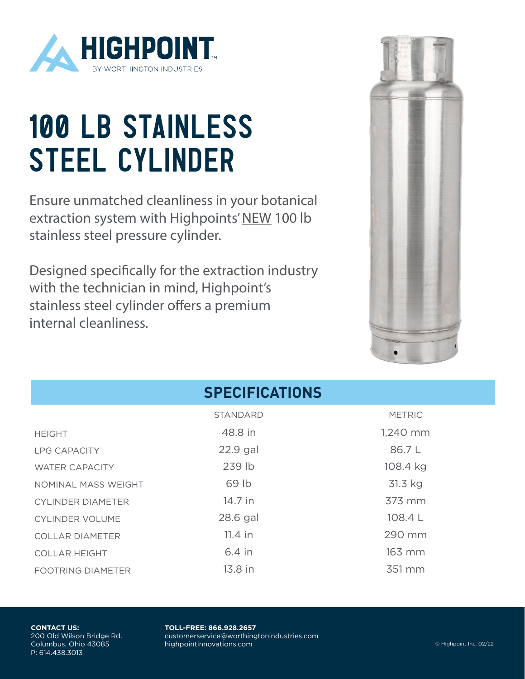

## 100 LB STAINLESS STEEL CYLINDER

Ensure unmatched cleanliness in your botanical extraction system with Highpoints' NEW 100 lb stainless steel pressure cylinder.

Designed specifically for the extraction industry with the technician in mind, Highpoint's stainless steel cylinder offers a premium internal cleanliness.



| <b>SPECIFICATIONS</b>    |                 |               |
|--------------------------|-----------------|---------------|
|                          | <b>STANDARD</b> | <b>METRIC</b> |
| <b>HEIGHT</b>            | 48.8 in         | 1,240 mm      |
| <b>LPG CAPACITY</b>      | $22.9$ gal      | 86.7L         |
| <b>WATER CAPACITY</b>    | 239 lb          | 108.4 kg      |
| NOMINAL MASS WEIGHT      | 69 lb           | 31.3 kg       |
| <b>CYLINDER DIAMETER</b> | 14.7 in         | 373 mm        |
| <b>CYLINDER VOLUME</b>   | 28.6 gal        | 108.4 L       |
| <b>COLLAR DIAMETER</b>   | $11.4$ in       | 290 mm        |
| <b>COLLAR HEIGHT</b>     | 6.4 in          | 163 mm        |
| <b>FOOTRING DIAMETER</b> | 13.8 in         | 351 mm        |

## **CONTACT US:** 200 Old Wilson Bridge Rd. Columbus, Ohio 43085 P: 614.438.3013

**TOLL-FREE: 866.928.2657** customerservice@worthingtonindustries.com highpointinnovations.com